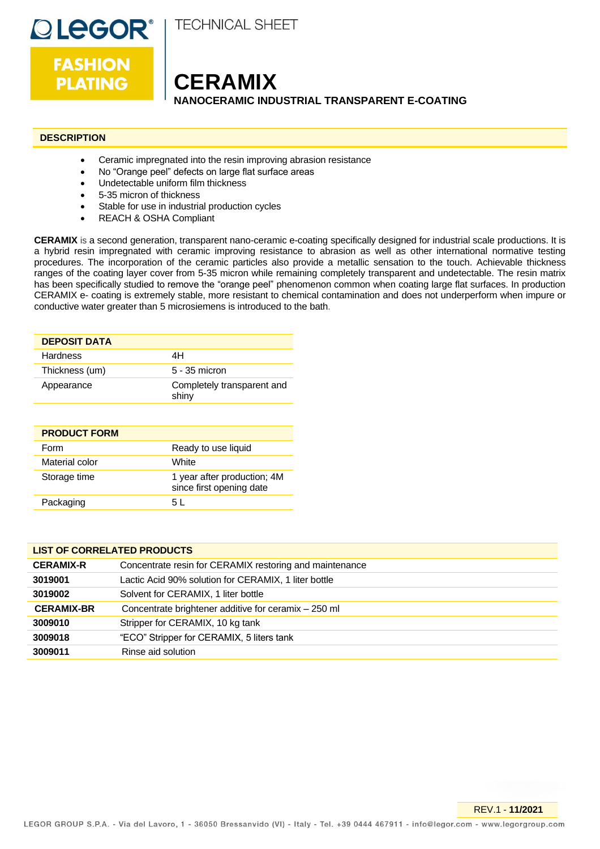

**DLEGOR® FASHION** 

**PLATING** 

**CERAMIX NANOCERAMIC INDUSTRIAL TRANSPARENT E-COATING**

# **DESCRIPTION**

- Ceramic impregnated into the resin improving abrasion resistance
- No "Orange peel" defects on large flat surface areas
- Undetectable uniform film thickness
- 5-35 micron of thickness
- Stable for use in industrial production cycles
- REACH & OSHA Compliant

**CERAMIX** is a second generation, transparent nano-ceramic e-coating specifically designed for industrial scale productions. It is a hybrid resin impregnated with ceramic improving resistance to abrasion as well as other international normative testing procedures. The incorporation of the ceramic particles also provide a metallic sensation to the touch. Achievable thickness ranges of the coating layer cover from 5-35 micron while remaining completely transparent and undetectable. The resin matrix has been specifically studied to remove the "orange peel" phenomenon common when coating large flat surfaces. In production CERAMIX e- coating is extremely stable, more resistant to chemical contamination and does not underperform when impure or conductive water greater than 5 microsiemens is introduced to the bath.

| <b>DEPOSIT DATA</b> |                                     |
|---------------------|-------------------------------------|
| <b>Hardness</b>     | 4H                                  |
| Thickness (um)      | 5 - 35 micron                       |
| Appearance          | Completely transparent and<br>shiny |

| <b>PRODUCT FORM</b> |                                                         |
|---------------------|---------------------------------------------------------|
| Form                | Ready to use liquid                                     |
| Material color      | White                                                   |
| Storage time        | 1 year after production; 4M<br>since first opening date |
| Packaging           | 5 L                                                     |

# **LIST OF CORRELATED PRODUCTS**

| <b>CERAMIX-R</b>  | Concentrate resin for CERAMIX restoring and maintenance |
|-------------------|---------------------------------------------------------|
| 3019001           | Lactic Acid 90% solution for CERAMIX, 1 liter bottle    |
| 3019002           | Solvent for CERAMIX, 1 liter bottle                     |
| <b>CERAMIX-BR</b> | Concentrate brightener additive for ceramix - 250 ml    |
| 3009010           | Stripper for CERAMIX, 10 kg tank                        |
| 3009018           | "ECO" Stripper for CERAMIX, 5 liters tank               |
| 3009011           | Rinse aid solution                                      |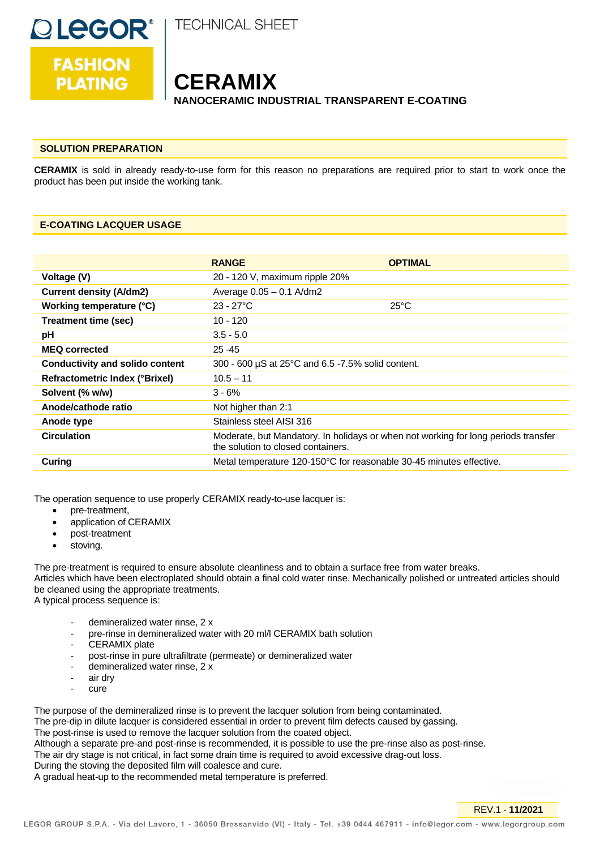

**FASHION** 

**PLATING** 

**TECHNICAL SHEET** 

# **CERAMIX NANOCERAMIC INDUSTRIAL TRANSPARENT E-COATING**

### **SOLUTION PREPARATION**

**CERAMIX** is sold in already ready-to-use form for this reason no preparations are required prior to start to work once the product has been put inside the working tank.

### **E-COATING LACQUER USAGE**

|                                        | <b>RANGE</b>                                                                                                             | <b>OPTIMAL</b> |
|----------------------------------------|--------------------------------------------------------------------------------------------------------------------------|----------------|
| Voltage (V)                            | 20 - 120 V, maximum ripple 20%                                                                                           |                |
| <b>Current density (A/dm2)</b>         | Average $0.05 - 0.1$ A/dm2                                                                                               |                |
| Working temperature (°C)               | $23 - 27^{\circ}C$                                                                                                       | $25^{\circ}$ C |
| <b>Treatment time (sec)</b>            | $10 - 120$                                                                                                               |                |
| pH                                     | $3.5 - 5.0$                                                                                                              |                |
| <b>MEQ corrected</b>                   | $25 - 45$                                                                                                                |                |
| <b>Conductivity and solido content</b> | 300 - 600 µS at 25°C and 6.5 -7.5% solid content.                                                                        |                |
| <b>Refractometric Index (°Brixel)</b>  | $10.5 - 11$                                                                                                              |                |
| Solvent (% w/w)                        | $3 - 6%$                                                                                                                 |                |
| Anode/cathode ratio                    | Not higher than 2:1                                                                                                      |                |
| Anode type                             | Stainless steel AISI 316                                                                                                 |                |
| <b>Circulation</b>                     | Moderate, but Mandatory. In holidays or when not working for long periods transfer<br>the solution to closed containers. |                |
| Curing                                 | Metal temperature 120-150°C for reasonable 30-45 minutes effective.                                                      |                |

The operation sequence to use properly CERAMIX ready-to-use lacquer is:

- pre-treatment,
- application of CERAMIX
- post-treatment
- stoving.

The pre-treatment is required to ensure absolute cleanliness and to obtain a surface free from water breaks. Articles which have been electroplated should obtain a final cold water rinse. Mechanically polished or untreated articles should be cleaned using the appropriate treatments. A typical process sequence is:

- demineralized water rinse, 2 x
- pre-rinse in demineralized water with 20 ml/l CERAMIX bath solution
- CERAMIX plate
- post-rinse in pure ultrafiltrate (permeate) or demineralized water
- demineralized water rinse, 2 x
- air dry
- cure

The purpose of the demineralized rinse is to prevent the lacquer solution from being contaminated. The pre-dip in dilute lacquer is considered essential in order to prevent film defects caused by gassing. The post-rinse is used to remove the lacquer solution from the coated object. Although a separate pre-and post-rinse is recommended, it is possible to use the pre-rinse also as post-rinse. The air dry stage is not critical, in fact some drain time is required to avoid excessive drag-out loss. During the stoving the deposited film will coalesce and cure. A gradual heat-up to the recommended metal temperature is preferred.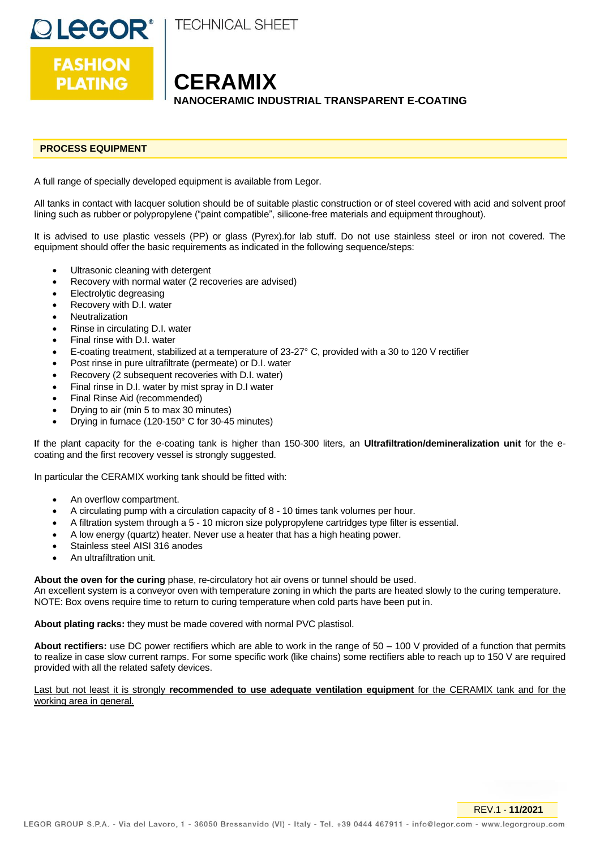**TECHNICAL SHEET** 

**OLEGOR<sup>®</sup>**<br>FASHION **PLATING** 

**CERAMIX NANOCERAMIC INDUSTRIAL TRANSPARENT E-COATING**

# **PROCESS EQUIPMENT**

A full range of specially developed equipment is available from Legor.

All tanks in contact with lacquer solution should be of suitable plastic construction or of steel covered with acid and solvent proof lining such as rubber or polypropylene ("paint compatible", silicone-free materials and equipment throughout).

It is advised to use plastic vessels (PP) or glass (Pyrex).for lab stuff. Do not use stainless steel or iron not covered. The equipment should offer the basic requirements as indicated in the following sequence/steps:

- Ultrasonic cleaning with detergent
- Recovery with normal water (2 recoveries are advised)
- Electrolytic degreasing
- Recovery with D.I. water
- **Neutralization**
- Rinse in circulating D.I. water
- Final rinse with D.I. water
- E-coating treatment, stabilized at a temperature of 23-27° C, provided with a 30 to 120 V rectifier
- Post rinse in pure ultrafiltrate (permeate) or D.I. water
- Recovery (2 subsequent recoveries with D.I. water)
- Final rinse in D.I. water by mist spray in D.I water
- Final Rinse Aid (recommended)
- Drying to air (min 5 to max 30 minutes)
- Drying in furnace (120-150° C for 30-45 minutes)

**I**f the plant capacity for the e-coating tank is higher than 150-300 liters, an **Ultrafiltration/demineralization unit** for the ecoating and the first recovery vessel is strongly suggested.

In particular the CERAMIX working tank should be fitted with:

- An overflow compartment.
- A circulating pump with a circulation capacity of 8 10 times tank volumes per hour.
- A filtration system through a 5 10 micron size polypropylene cartridges type filter is essential.
- A low energy (quartz) heater. Never use a heater that has a high heating power.
- Stainless steel AISI 316 anodes
- An ultrafiltration unit.

**About the oven for the curing** phase, re-circulatory hot air ovens or tunnel should be used.

An excellent system is a conveyor oven with temperature zoning in which the parts are heated slowly to the curing temperature. NOTE: Box ovens require time to return to curing temperature when cold parts have been put in.

**About plating racks:** they must be made covered with normal PVC plastisol.

**About rectifiers:** use DC power rectifiers which are able to work in the range of 50 – 100 V provided of a function that permits to realize in case slow current ramps. For some specific work (like chains) some rectifiers able to reach up to 150 V are required provided with all the related safety devices.

Last but not least it is strongly **recommended to use adequate ventilation equipment** for the CERAMIX tank and for the working area in general.

REV.1 - **11/2021**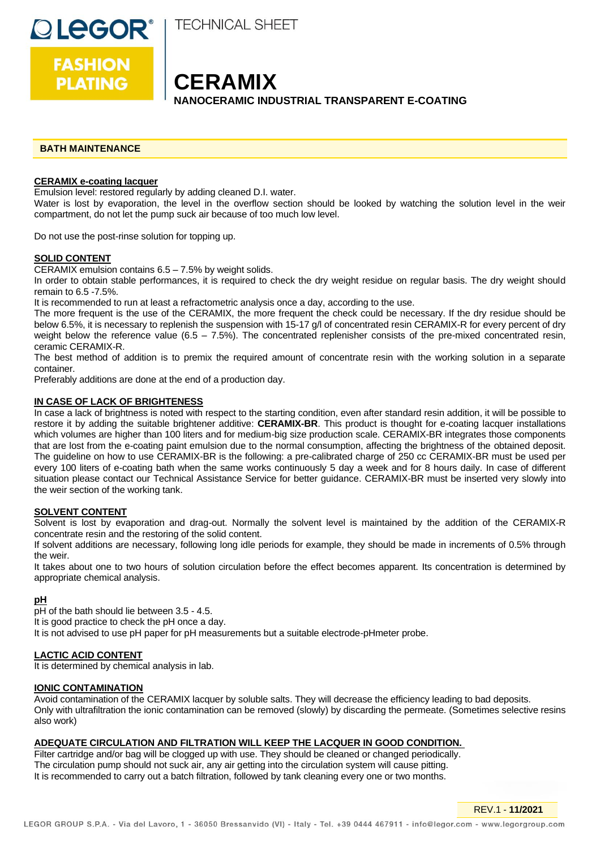

**FASHION PLATING** 

**QLEGOR®** 

**CERAMIX NANOCERAMIC INDUSTRIAL TRANSPARENT E-COATING**

### **BATH MAINTENANCE**

### **CERAMIX e-coating lacquer**

Emulsion level: restored regularly by adding cleaned D.I. water.

Water is lost by evaporation, the level in the overflow section should be looked by watching the solution level in the weir compartment, do not let the pump suck air because of too much low level.

Do not use the post-rinse solution for topping up.

### **SOLID CONTENT**

CERAMIX emulsion contains 6.5 – 7.5% by weight solids.

In order to obtain stable performances, it is required to check the dry weight residue on regular basis. The dry weight should remain to 6.5 -7.5%.

It is recommended to run at least a refractometric analysis once a day, according to the use.

The more frequent is the use of the CERAMIX, the more frequent the check could be necessary. If the dry residue should be below 6.5%, it is necessary to replenish the suspension with 15-17 g/l of concentrated resin CERAMIX-R for every percent of dry weight below the reference value  $(6.5 - 7.5%)$ . The concentrated replenisher consists of the pre-mixed concentrated resin, ceramic CERAMIX-R.

The best method of addition is to premix the required amount of concentrate resin with the working solution in a separate container.

Preferably additions are done at the end of a production day.

### **IN CASE OF LACK OF BRIGHTENESS**

In case a lack of brightness is noted with respect to the starting condition, even after standard resin addition, it will be possible to restore it by adding the suitable brightener additive: **CERAMIX-BR**. This product is thought for e-coating lacquer installations which volumes are higher than 100 liters and for medium-big size production scale. CERAMIX-BR integrates those components that are lost from the e-coating paint emulsion due to the normal consumption, affecting the brightness of the obtained deposit. The guideline on how to use CERAMIX-BR is the following: a pre-calibrated charge of 250 cc CERAMIX-BR must be used per every 100 liters of e-coating bath when the same works continuously 5 day a week and for 8 hours daily. In case of different situation please contact our Technical Assistance Service for better guidance. CERAMIX-BR must be inserted very slowly into the weir section of the working tank.

### **SOLVENT CONTENT**

Solvent is lost by evaporation and drag-out. Normally the solvent level is maintained by the addition of the CERAMIX-R concentrate resin and the restoring of the solid content.

If solvent additions are necessary, following long idle periods for example, they should be made in increments of 0.5% through the weir.

It takes about one to two hours of solution circulation before the effect becomes apparent. Its concentration is determined by appropriate chemical analysis.

### **pH**

pH of the bath should lie between 3.5 - 4.5.

It is good practice to check the pH once a day.

It is not advised to use pH paper for pH measurements but a suitable electrode-pHmeter probe.

### **LACTIC ACID CONTENT**

It is determined by chemical analysis in lab.

### **IONIC CONTAMINATION**

Avoid contamination of the CERAMIX lacquer by soluble salts. They will decrease the efficiency leading to bad deposits. Only with ultrafiltration the ionic contamination can be removed (slowly) by discarding the permeate. (Sometimes selective resins also work)

### **ADEQUATE CIRCULATION AND FILTRATION WILL KEEP THE LACQUER IN GOOD CONDITION.**

Filter cartridge and/or bag will be clogged up with use. They should be cleaned or changed periodically. The circulation pump should not suck air, any air getting into the circulation system will cause pitting. It is recommended to carry out a batch filtration, followed by tank cleaning every one or two months.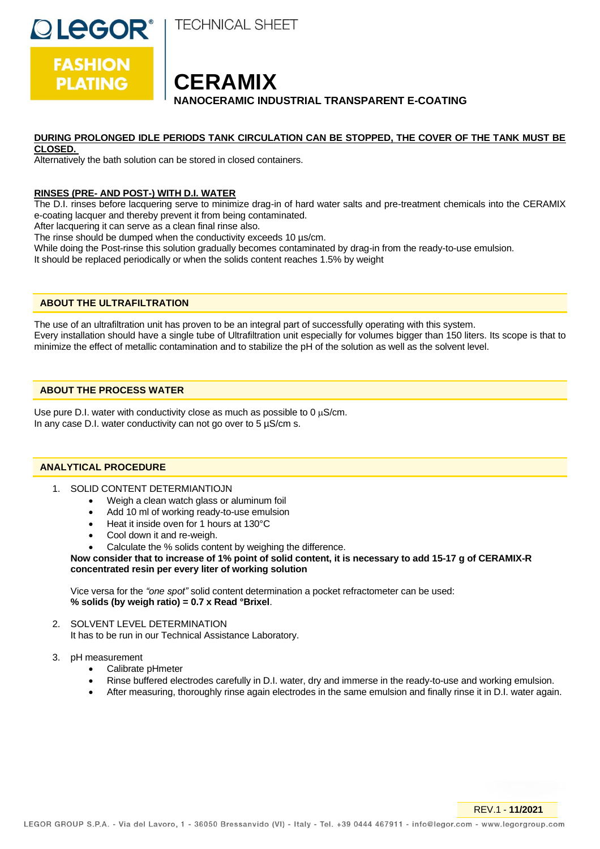**TECHNICAL SHEET** 

**CERAMIX NANOCERAMIC INDUSTRIAL TRANSPARENT E-COATING**

# **DURING PROLONGED IDLE PERIODS TANK CIRCULATION CAN BE STOPPED, THE COVER OF THE TANK MUST BE**

### **CLOSED.**

**DLEGOR®** 

**FASHION** 

**PLATING** 

Alternatively the bath solution can be stored in closed containers.

# **RINSES (PRE- AND POST-) WITH D.I. WATER**

The D.I. rinses before lacquering serve to minimize drag-in of hard water salts and pre-treatment chemicals into the CERAMIX e-coating lacquer and thereby prevent it from being contaminated.

After lacquering it can serve as a clean final rinse also.

The rinse should be dumped when the conductivity exceeds 10  $\mu$ s/cm.

While doing the Post-rinse this solution gradually becomes contaminated by drag-in from the ready-to-use emulsion.

It should be replaced periodically or when the solids content reaches 1.5% by weight

# **ABOUT THE ULTRAFILTRATION**

The use of an ultrafiltration unit has proven to be an integral part of successfully operating with this system. Every installation should have a single tube of Ultrafiltration unit especially for volumes bigger than 150 liters. Its scope is that to minimize the effect of metallic contamination and to stabilize the pH of the solution as well as the solvent level.

### **ABOUT THE PROCESS WATER**

Use pure D.I. water with conductivity close as much as possible to 0  $\mu$ S/cm. In any case D.I. water conductivity can not go over to  $5 \mu s/cm s$ .

# **ANALYTICAL PROCEDURE**

- 1. SOLID CONTENT DETERMIANTIOJN
	- Weigh a clean watch glass or aluminum foil
	- Add 10 ml of working ready-to-use emulsion
	- Heat it inside oven for 1 hours at 130°C
	- Cool down it and re-weigh.
	- Calculate the % solids content by weighing the difference.

### **Now consider that to increase of 1% point of solid content, it is necessary to add 15-17 g of CERAMIX-R concentrated resin per every liter of working solution**

Vice versa for the *"one spot"* solid content determination a pocket refractometer can be used: **% solids (by weigh ratio) = 0.7 x Read °Brixel**.

2. SOLVENT LEVEL DETERMINATION It has to be run in our Technical Assistance Laboratory.

3. pH measurement

- Calibrate pHmeter
- Rinse buffered electrodes carefully in D.I. water, dry and immerse in the ready-to-use and working emulsion.
- After measuring, thoroughly rinse again electrodes in the same emulsion and finally rinse it in D.I. water again.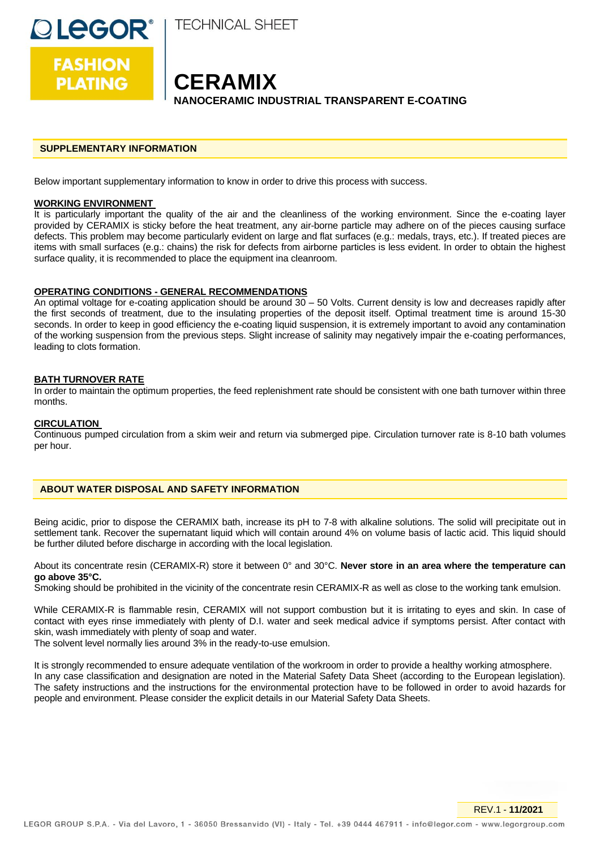**TECHNICAL SHEET** 

**CERAMIX NANOCERAMIC INDUSTRIAL TRANSPARENT E-COATING**

### **SUPPLEMENTARY INFORMATION**

Below important supplementary information to know in order to drive this process with success.

### **WORKING ENVIRONMENT**

**OLEGOR®** 

**FASHION** 

**PLATING** 

It is particularly important the quality of the air and the cleanliness of the working environment. Since the e-coating layer provided by CERAMIX is sticky before the heat treatment, any air-borne particle may adhere on of the pieces causing surface defects. This problem may become particularly evident on large and flat surfaces (e.g.: medals, trays, etc.). If treated pieces are items with small surfaces (e.g.: chains) the risk for defects from airborne particles is less evident. In order to obtain the highest surface quality, it is recommended to place the equipment ina cleanroom.

### **OPERATING CONDITIONS - GENERAL RECOMMENDATIONS**

An optimal voltage for e-coating application should be around 30 – 50 Volts. Current density is low and decreases rapidly after the first seconds of treatment, due to the insulating properties of the deposit itself. Optimal treatment time is around 15-30 seconds. In order to keep in good efficiency the e-coating liquid suspension, it is extremely important to avoid any contamination of the working suspension from the previous steps. Slight increase of salinity may negatively impair the e-coating performances, leading to clots formation.

### **BATH TURNOVER RATE**

In order to maintain the optimum properties, the feed replenishment rate should be consistent with one bath turnover within three months.

### **CIRCULATION**

Continuous pumped circulation from a skim weir and return via submerged pipe. Circulation turnover rate is 8-10 bath volumes per hour.

### **ABOUT WATER DISPOSAL AND SAFETY INFORMATION**

Being acidic, prior to dispose the CERAMIX bath, increase its pH to 7-8 with alkaline solutions. The solid will precipitate out in settlement tank. Recover the supernatant liquid which will contain around 4% on volume basis of lactic acid. This liquid should be further diluted before discharge in according with the local legislation.

About its concentrate resin (CERAMIX-R) store it between 0° and 30°C. **Never store in an area where the temperature can go above 35°C.**

Smoking should be prohibited in the vicinity of the concentrate resin CERAMIX-R as well as close to the working tank emulsion.

While CERAMIX-R is flammable resin, CERAMIX will not support combustion but it is irritating to eyes and skin. In case of contact with eyes rinse immediately with plenty of D.I. water and seek medical advice if symptoms persist. After contact with skin, wash immediately with plenty of soap and water.

The solvent level normally lies around 3% in the ready-to-use emulsion.

It is strongly recommended to ensure adequate ventilation of the workroom in order to provide a healthy working atmosphere. In any case classification and designation are noted in the Material Safety Data Sheet (according to the European legislation). The safety instructions and the instructions for the environmental protection have to be followed in order to avoid hazards for people and environment. Please consider the explicit details in our Material Safety Data Sheets.